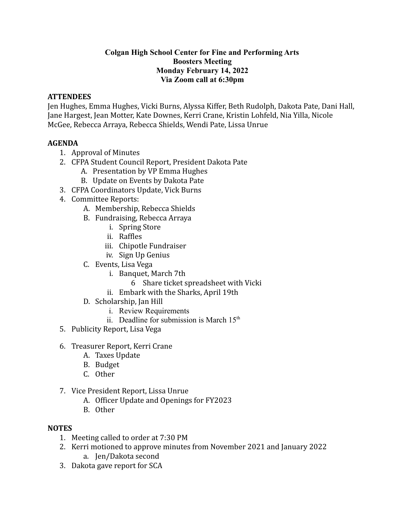## **Colgan High School Center for Fine and Performing Arts Boosters Meeting Monday February 14, 2022 Via Zoom call at 6:30pm**

## **ATTENDEES**

Jen Hughes, Emma Hughes, Vicki Burns, Alyssa Kiffer, Beth Rudolph, Dakota Pate, Dani Hall, Jane Hargest, Jean Motter, Kate Downes, Kerri Crane, Kristin Lohfeld, Nia Yilla, Nicole McGee, Rebecca Arraya, Rebecca Shields, Wendi Pate, Lissa Unrue

## **AGENDA**

- 1. Approval of Minutes
- 2. CFPA Student Council Report, President Dakota Pate
	- A. Presentation by VP Emma Hughes
	- B. Update on Events by Dakota Pate
- 3. CFPA Coordinators Update, Vick Burns
- 4. Committee Reports:
	- A. Membership, Rebecca Shields
	- B. Fundraising, Rebecca Arraya
		- i. Spring Store
		- ii. Raffles
		- iii. Chipotle Fundraiser
		- iv. Sign Up Genius
	- C. Events, Lisa Vega
		- i. Banquet, March 7th
			- 6 Share ticket spreadsheet with Vicki
		- ii. Embark with the Sharks, April 19th
	- D. Scholarship, Jan Hill
		- i. Review Requirements
		- ii. Deadline for submission is March  $15<sup>th</sup>$
- 5. Publicity Report, Lisa Vega
- 6. Treasurer Report, Kerri Crane
	- A. Taxes Update
	- B. Budget
	- C. Other
- 7. Vice President Report, Lissa Unrue
	- A. Officer Update and Openings for FY2023
	- B. Other

## **NOTES**

- 1. Meeting called to order at 7:30 PM
- 2. Kerri motioned to approve minutes from November 2021 and January 2022 a. Jen/Dakota second
- 3. Dakota gave report for SCA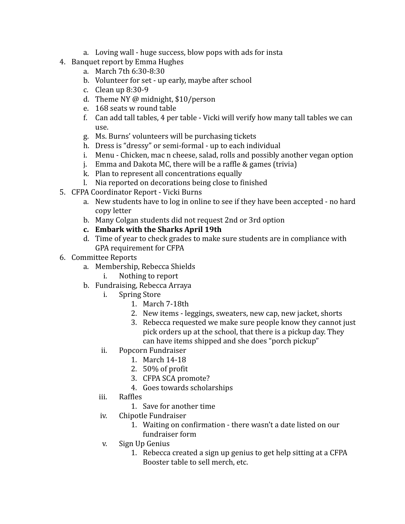- a. Loving wall huge success, blow pops with ads for insta
- 4. Banquet report by Emma Hughes
	- a. March 7th 6:30-8:30
	- b. Volunteer for set up early, maybe after school
	- c. Clean up 8:30-9
	- d. Theme NY @ midnight, \$10/person
	- e. 168 seats w round table
	- f. Can add tall tables, 4 per table Vicki will verify how many tall tables we can use.
	- g. Ms. Burns' volunteers will be purchasing tickets
	- h. Dress is "dressy" or semi-formal up to each individual
	- i. Menu Chicken, mac n cheese, salad, rolls and possibly another vegan option
	- j. Emma and Dakota MC, there will be a raffle & games (trivia)
	- k. Plan to represent all concentrations equally
	- l. Nia reported on decorations being close to finished
- 5. CFPA Coordinator Report Vicki Burns
	- a. New students have to log in online to see if they have been accepted no hard copy letter
	- b. Many Colgan students did not request 2nd or 3rd option
	- **c. Embark with the Sharks April 19th**
	- d. Time of year to check grades to make sure students are in compliance with GPA requirement for CFPA
- 6. Committee Reports
	- a. Membership, Rebecca Shields
		- i. Nothing to report
	- b. Fundraising, Rebecca Arraya
		- i. Spring Store
			- 1. March 7-18th
			- 2. New items leggings, sweaters, new cap, new jacket, shorts
			- 3. Rebecca requested we make sure people know they cannot just pick orders up at the school, that there is a pickup day. They can have items shipped and she does "porch pickup"
		- ii. Popcorn Fundraiser
			- 1. March 14-18
			- 2. 50% of profit
			- 3. CFPA SCA promote?
			- 4. Goes towards scholarships
		- iii. Raffles
			- 1. Save for another time
		- iv. Chipotle Fundraiser
			- 1. Waiting on confirmation there wasn't a date listed on our fundraiser form
		- v. Sign Up Genius
			- 1. Rebecca created a sign up genius to get help sitting at a CFPA Booster table to sell merch, etc.